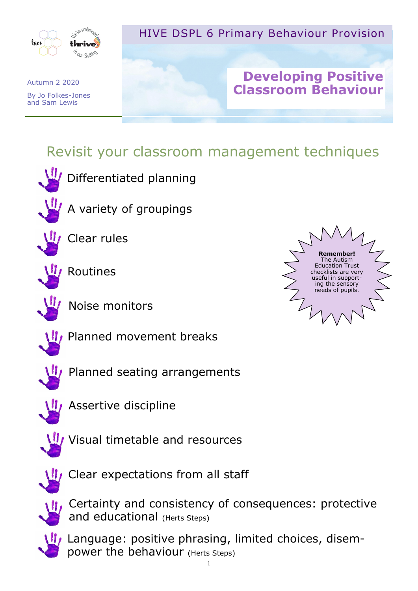

## HIVE DSPL 6 Primary Behaviour Provision

## **Developing Positive Classroom Behaviour**

# Revisit your classroom management techniques



Differentiated planning



A variety of groupings



Clear rules



Routines



Noise monitors





Planned seating arrangements



**II, Assertive discipline** 



**V** Visual timetable and resources



Clear expectations from all staff



Certainty and consistency of consequences: protective and educational (Herts Steps)

Language: positive phrasing, limited choices, disempower the behaviour (Herts Steps)

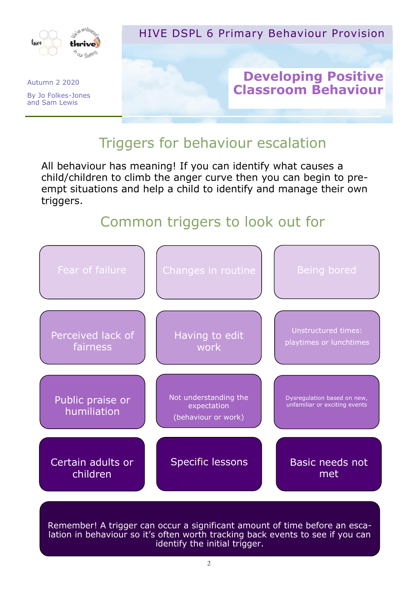

#### HIVE DSPL 6 Primary Behaviour Provision

### **Developing Positive Classroom Behaviour**

## Triggers for behaviour escalation

All behaviour has meaning! If you can identify what causes a child/children to climb the anger curve then you can begin to preempt situations and help a child to identify and manage their own triggers.

# Common triggers to look out for



Remember! A trigger can occur a significant amount of time before an escalation in behaviour so it's often worth tracking back events to see if you can identify the initial trigger.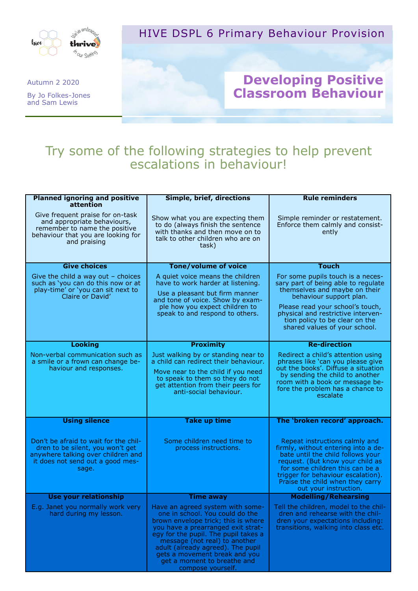

#### HIVE DSPL 6 Primary Behaviour Provision

#### **Developing Positive Classroom Behaviour**

## Try some of the following strategies to help prevent escalations in behaviour!

| <b>Planned ignoring and positive</b>                                                                                                                                | Simple, brief, directions                                                                                                                                                                                                                                                                                                                           | <b>Rule reminders</b>                                                                                                                                                                                                                                                                |
|---------------------------------------------------------------------------------------------------------------------------------------------------------------------|-----------------------------------------------------------------------------------------------------------------------------------------------------------------------------------------------------------------------------------------------------------------------------------------------------------------------------------------------------|--------------------------------------------------------------------------------------------------------------------------------------------------------------------------------------------------------------------------------------------------------------------------------------|
| attention<br>Give frequent praise for on-task<br>and appropriate behaviours,<br>remember to name the positive<br>behaviour that you are looking for<br>and praising | Show what you are expecting them<br>to do (always finish the sentence<br>with thanks and then move on to<br>talk to other children who are on<br>task)                                                                                                                                                                                              | Simple reminder or restatement.<br>Enforce them calmly and consist-<br>ently                                                                                                                                                                                                         |
| <b>Give choices</b>                                                                                                                                                 | <b>Tone/volume of voice</b>                                                                                                                                                                                                                                                                                                                         | <b>Touch</b>                                                                                                                                                                                                                                                                         |
| Give the child a way out $-$ choices<br>such as 'you can do this now or at<br>play-time' or 'you can sit next to<br>Claire or David'                                | A quiet voice means the children<br>have to work harder at listening.<br>Use a pleasant but firm manner<br>and tone of voice. Show by exam-                                                                                                                                                                                                         | For some pupils touch is a neces-<br>sary part of being able to regulate<br>themselves and maybe on their<br>behaviour support plan.                                                                                                                                                 |
|                                                                                                                                                                     | ple how you expect children to<br>speak to and respond to others.                                                                                                                                                                                                                                                                                   | Please read your school's touch,<br>physical and restrictive interven-<br>tion policy to be clear on the<br>shared values of your school.                                                                                                                                            |
| <b>Looking</b>                                                                                                                                                      | <b>Proximity</b>                                                                                                                                                                                                                                                                                                                                    | <b>Re-direction</b>                                                                                                                                                                                                                                                                  |
| Non-verbal communication such as<br>a smile or a frown can change be-<br>haviour and responses.                                                                     | Just walking by or standing near to<br>a child can redirect their behaviour.<br>Move near to the child if you need<br>to speak to them so they do not<br>get attention from their peers for<br>anti-social behaviour.                                                                                                                               | Redirect a child's attention using<br>phrases like 'can you please give<br>out the books'. Diffuse a situation<br>by sending the child to another<br>room with a book or message be-<br>fore the problem has a chance to<br>escalate                                                 |
| <b>Using silence</b>                                                                                                                                                | <b>Take up time</b>                                                                                                                                                                                                                                                                                                                                 | The 'broken record' approach.                                                                                                                                                                                                                                                        |
| Don't be afraid to wait for the chil-<br>dren to be silent, you won't get<br>anywhere talking over children and<br>it does not send out a good mes-<br>sage.        | Some children need time to<br>process instructions.                                                                                                                                                                                                                                                                                                 | Repeat instructions calmly and<br>firmly, without entering into a de-<br>bate until the child follows your<br>request. (But know your child as<br>for some children this can be a<br>trigger for behaviour escalation).<br>Praise the child when they carry<br>out your instruction. |
| <b>Use your relationship</b>                                                                                                                                        | <b>Time away</b>                                                                                                                                                                                                                                                                                                                                    | <b>Modelling/Rehearsing</b>                                                                                                                                                                                                                                                          |
| E.g. Janet you normally work very<br>hard during my lesson.                                                                                                         | Have an agreed system with some-<br>one in school. You could do the<br>brown envelope trick; this is where<br>you have a prearranged exit strat-<br>egy for the pupil. The pupil takes a<br>message (not real) to another<br>adult (already agreed). The pupil<br>gets a movement break and you<br>get a moment to breathe and<br>compose yourself. | Tell the children, model to the chil-<br>dren and rehearse with the chil-<br>dren your expectations including:<br>transitions, walking into class etc.                                                                                                                               |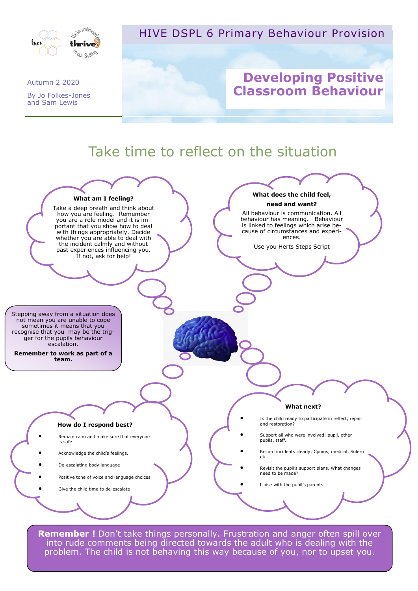

HIVE DSPL 6 Primary Behaviour Provision

#### Autumn 2 2020 By Jo Folkes-Jones and Sam Lewis

## **Developing Positive Classroom Behaviour**



**Remember !** Don't take things personally. Frustration and anger often spill over into rude comments being directed towards the adult who is dealing with the problem. The child is not behaving this way because of you, nor to upset you.